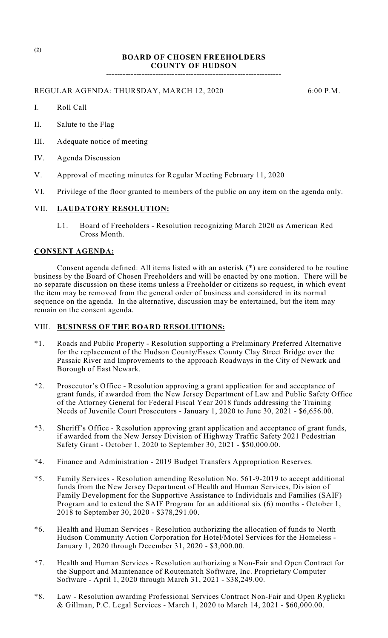## **BOARD OF CHOSEN FREEHOLDERS COUNTY OF HUDSON**

**----------------------------------------------------------------**

REGULAR AGENDA: THURSDAY, MARCH 12, 2020 6:00 P.M.

- I. Roll Call
- II. Salute to the Flag
- III. Adequate notice of meeting
- IV. Agenda Discussion
- V. Approval of meeting minutes for Regular Meeting February 11, 2020
- VI. Privilege of the floor granted to members of the public on any item on the agenda only.

#### VII. **LAUDATORY RESOLUTION:**

L1. Board of Freeholders - Resolution recognizing March 2020 as American Red Cross Month.

## **CONSENT AGENDA:**

Consent agenda defined: All items listed with an asterisk (\*) are considered to be routine business by the Board of Chosen Freeholders and will be enacted by one motion. There will be no separate discussion on these items unless a Freeholder or citizens so request, in which event the item may be removed from the general order of business and considered in its normal sequence on the agenda. In the alternative, discussion may be entertained, but the item may remain on the consent agenda.

## VIII. **BUSINESS OF THE BOARD RESOLUTIONS:**

- \*1. Roads and Public Property Resolution supporting a Preliminary Preferred Alternative for the replacement of the Hudson County/Essex County Clay Street Bridge over the Passaic River and Improvements to the approach Roadways in the City of Newark and Borough of East Newark.
- \*2. Prosecutor's Office Resolution approving a grant application for and acceptance of grant funds, if awarded from the New Jersey Department of Law and Public Safety Office of the Attorney General for Federal Fiscal Year 2018 funds addressing the Training Needs of Juvenile Court Prosecutors - January 1, 2020 to June 30, 2021 - \$6,656.00.
- \*3. Sheriff's Office Resolution approving grant application and acceptance of grant funds, if awarded from the New Jersey Division of Highway Traffic Safety 2021 Pedestrian Safety Grant - October 1, 2020 to September 30, 2021 - \$50,000.00.
- \*4. Finance and Administration 2019 Budget Transfers Appropriation Reserves.
- \*5. Family Services Resolution amending Resolution No. 561-9-2019 to accept additional funds from the New Jersey Department of Health and Human Services, Division of Family Development for the Supportive Assistance to Individuals and Families (SAIF) Program and to extend the SAIF Program for an additional six (6) months - October 1, 2018 to September 30, 2020 - \$378,291.00.
- \*6. Health and Human Services Resolution authorizing the allocation of funds to North Hudson Community Action Corporation for Hotel/Motel Services for the Homeless - January 1, 2020 through December 31, 2020 - \$3,000.00.
- \*7. Health and Human Services Resolution authorizing a Non-Fair and Open Contract for the Support and Maintenance of Routematch Software, Inc. Proprietary Computer Software - April 1, 2020 through March 31, 2021 - \$38,249.00.
- \*8. Law Resolution awarding Professional Services Contract Non-Fair and Open Ryglicki & Gillman, P.C. Legal Services - March 1, 2020 to March 14, 2021 - \$60,000.00.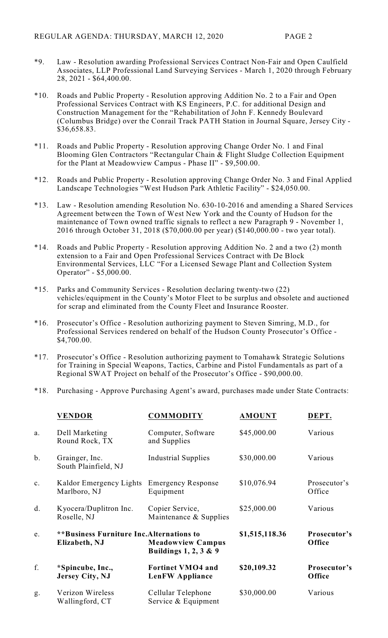- \*9. Law Resolution awarding Professional Services Contract Non-Fair and Open Caulfield Associates, LLP Professional Land Surveying Services - March 1, 2020 through February 28, 2021 - \$64,400.00.
- \*10. Roads and Public Property Resolution approving Addition No. 2 to a Fair and Open Professional Services Contract with KS Engineers, P.C. for additional Design and Construction Management for the "Rehabilitation of John F. Kennedy Boulevard (Columbus Bridge) over the Conrail Track PATH Station in Journal Square, Jersey City - \$36,658.83.
- \*11. Roads and Public Property Resolution approving Change Order No. 1 and Final Blooming Glen Contractors "Rectangular Chain & Flight Sludge Collection Equipment for the Plant at Meadowview Campus - Phase II" - \$9,500.00.
- \*12. Roads and Public Property Resolution approving Change Order No. 3 and Final Applied Landscape Technologies "West Hudson Park Athletic Facility" - \$24,050.00.
- \*13. Law Resolution amending Resolution No. 630-10-2016 and amending a Shared Services Agreement between the Town of West New York and the County of Hudson for the maintenance of Town owned traffic signals to reflect a new Paragraph 9 - November 1, 2016 through October 31, 2018 (\$70,000.00 per year) (\$140,000.00 - two year total).
- \*14. Roads and Public Property Resolution approving Addition No. 2 and a two (2) month extension to a Fair and Open Professional Services Contract with De Block Environmental Services, LLC "For a Licensed Sewage Plant and Collection System Operator" - \$5,000.00.
- \*15. Parks and Community Services Resolution declaring twenty-two (22) vehicles/equipment in the County's Motor Fleet to be surplus and obsolete and auctioned for scrap and eliminated from the County Fleet and Insurance Rooster.
- \*16. Prosecutor's Office Resolution authorizing payment to Steven Simring, M.D., for Professional Services rendered on behalf of the Hudson County Prosecutor's Office - \$4,700.00.
- \*17. Prosecutor's Office Resolution authorizing payment to Tomahawk Strategic Solutions for Training in Special Weapons, Tactics, Carbine and Pistol Fundamentals as part of a Regional SWAT Project on behalf of the Prosecutor's Office - \$90,000.00.
- \*18. Purchasing Approve Purchasing Agent's award, purchases made under State Contracts:

|                | <b>VENDOR</b>                                                                                                             | <b>COMMODITY</b>                                   | <b>AMOUNT</b>  | DEPT.                  |
|----------------|---------------------------------------------------------------------------------------------------------------------------|----------------------------------------------------|----------------|------------------------|
| a.             | Dell Marketing<br>Round Rock, TX                                                                                          | Computer, Software<br>and Supplies                 | \$45,000.00    | Various                |
| b.             | Grainger, Inc.<br>South Plainfield, NJ                                                                                    | <b>Industrial Supplies</b>                         | \$30,000.00    | Various                |
| $\mathbf{c}$ . | Kaldor Emergency Lights<br>Marlboro, NJ                                                                                   | <b>Emergency Response</b><br>Equipment             | \$10,076.94    | Prosecutor's<br>Office |
| d.             | Kyocera/Duplitron Inc.<br>Roselle, NJ                                                                                     | Copier Service,<br>Maintenance $&$ Supplies        | \$25,000.00    | Various                |
| e.             | <b>**Business Furniture Inc. Alternations to</b><br>Elizabeth, NJ<br><b>Meadowview Campus</b><br>Buildings $1, 2, 3 \& 9$ |                                                    | \$1,515,118.36 | Prosecutor's<br>Office |
| f.             | *Spincube, Inc.,<br>Jersey City, NJ                                                                                       | <b>Fortinet VMO4 and</b><br><b>LenFW Appliance</b> | \$20,109.32    | Prosecutor's<br>Office |
| g.             | Verizon Wireless<br>Wallingford, CT                                                                                       | Cellular Telephone<br>Service & Equipment          | \$30,000.00    | Various                |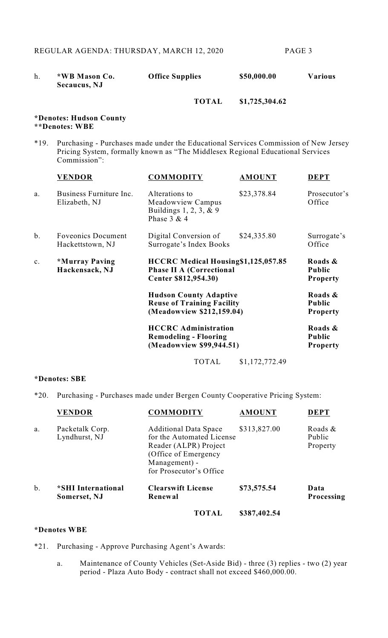|  | *WB Mason Co. | <b>Office Supplies</b> | \$50,000.00 | <b>Various</b> |
|--|---------------|------------------------|-------------|----------------|
|  | Secaucus, NJ  |                        |             |                |

# **TOTAL \$1,725,304.62**

#### **\*Denotes: Hudson County \*\*Denotes: WBE**

\*19. Purchasing - Purchases made under the Educational Services Commission of New Jersey Pricing System, formally known as "The Middlesex Regional Educational Services Commission":

|                | <b>VENDOR</b>                                 | <b>COMMODITY</b>                                                                                | <b>AMOUNT</b>  | <b>DEPT</b>                                 |
|----------------|-----------------------------------------------|-------------------------------------------------------------------------------------------------|----------------|---------------------------------------------|
| a.             | Business Furniture Inc.<br>Elizabeth, NJ      | Alterations to<br>Meadowview Campus<br>Buildings $1, 2, 3, \& 9$<br>Phase $3 & 4$               | \$23,378.84    | Prosecutor's<br>Office                      |
| $b$ .          | <b>Foveonics Document</b><br>Hackettstown, NJ | Digital Conversion of<br>Surrogate's Index Books                                                | \$24,335.80    | Surrogate's<br>Office                       |
| $\mathbf{c}$ . | *Murray Paving<br>Hackensack, NJ              | HCCRC Medical Housing \$1,125,057.85<br><b>Phase II A (Correctional</b><br>Center \$812,954.30) |                | Roads &<br><b>Public</b><br><b>Property</b> |
|                |                                               | <b>Hudson County Adaptive</b><br><b>Reuse of Training Facility</b><br>(Meadowview \$212,159.04) |                | Roads &<br>Public<br><b>Property</b>        |
|                |                                               | <b>HCCRC</b> Administration<br><b>Remodeling - Flooring</b><br>(Meadowview \$99,944.51)         |                | Roads &<br><b>Public</b><br><b>Property</b> |
|                |                                               | <b>TOTAL</b>                                                                                    | \$1,172,772.49 |                                             |

### **\*Denotes: SBE**

\*20. Purchasing - Purchases made under Bergen County Cooperative Pricing System:

|    | <b>VENDOR</b>                      | <b>COMMODITY</b>                                                                                                                                        | <b>AMOUNT</b> | <b>DEPT</b>                   |
|----|------------------------------------|---------------------------------------------------------------------------------------------------------------------------------------------------------|---------------|-------------------------------|
| a. | Packetalk Corp.<br>Lyndhurst, NJ   | <b>Additional Data Space</b><br>for the Automated License<br>Reader (ALPR) Project<br>(Office of Emergency)<br>Management) -<br>for Prosecutor's Office | \$313,827.00  | Roads &<br>Public<br>Property |
| b. | *SHI International<br>Somerset, NJ | <b>Clearswift License</b><br>Renewal                                                                                                                    | \$73,575.54   | Data<br>Processing            |
|    |                                    | <b>TOTAL</b>                                                                                                                                            | \$387,402.54  |                               |
|    |                                    |                                                                                                                                                         |               |                               |

#### **\*Denotes WBE**

- \*21. Purchasing Approve Purchasing Agent's Awards:
	- a. Maintenance of County Vehicles (Set-Aside Bid) three (3) replies two (2) year period - Plaza Auto Body - contract shall not exceed \$460,000.00.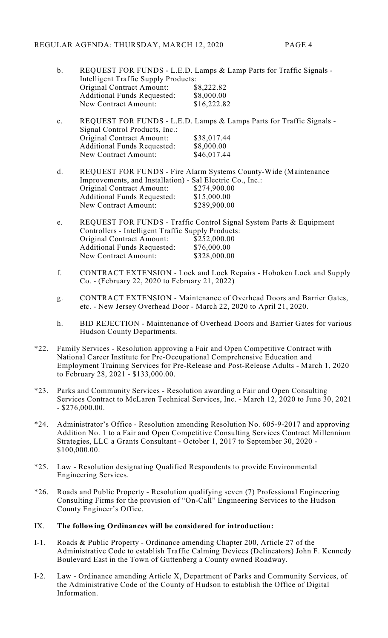| b. |                                      | REQUEST FOR FUNDS - L.E.D. Lamps & Lamp Parts for Traffic Signals - |
|----|--------------------------------------|---------------------------------------------------------------------|
|    | Intelligent Traffic Supply Products: |                                                                     |
|    | Original Contract Amount:            | \$8,222.82                                                          |
|    | <b>Additional Funds Requested:</b>   | \$8,000.00                                                          |
|    | New Contract Amount:                 | \$16,222.82                                                         |
|    |                                      |                                                                     |

| $\mathbf{c}$ . |                                    | REQUEST FOR FUNDS - L.E.D. Lamps & Lamps Parts for Traffic Signals - |
|----------------|------------------------------------|----------------------------------------------------------------------|
|                | Signal Control Products, Inc.:     |                                                                      |
|                | Original Contract Amount:          | \$38,017.44                                                          |
|                | <b>Additional Funds Requested:</b> | \$8,000.00                                                           |
|                | New Contract Amount:               | \$46,017.44                                                          |

- d. REQUEST FOR FUNDS Fire Alarm Systems County-Wide (Maintenance Improvements, and Installation) - Sal Electric Co., Inc.:<br>Original Contract Amount: \$274,900.00 Original Contract Amount: \$274,900.00<br>Additional Funds Requested: \$15,000.00 Additional Funds Requested: \$15,000.00<br>New Contract Amount: \$289,900.00 New Contract Amount:
- e. REQUEST FOR FUNDS Traffic Control Signal System Parts & Equipment Controllers - Intelligent Traffic Supply Products: Original Contract Amount: \$252,000.00 Additional Funds Requested: \$76,000.00<br>New Contract Amount: \$328,000.00 New Contract Amount:
- f. CONTRACT EXTENSION Lock and Lock Repairs Hoboken Lock and Supply Co. - (February 22, 2020 to February 21, 2022)
- g. CONTRACT EXTENSION Maintenance of Overhead Doors and Barrier Gates, etc. - New Jersey Overhead Door - March 22, 2020 to April 21, 2020.
- h. BID REJECTION Maintenance of Overhead Doors and Barrier Gates for various Hudson County Departments.
- \*22. Family Services Resolution approving a Fair and Open Competitive Contract with National Career Institute for Pre-Occupational Comprehensive Education and Employment Training Services for Pre-Release and Post-Release Adults - March 1, 2020 to February 28, 2021 - \$133,000.00.
- \*23. Parks and Community Services Resolution awarding a Fair and Open Consulting Services Contract to McLaren Technical Services, Inc. - March 12, 2020 to June 30, 2021 - \$276,000.00.
- \*24. Administrator's Office Resolution amending Resolution No. 605-9-2017 and approving Addition No. 1 to a Fair and Open Competitive Consulting Services Contract Millennium Strategies, LLC a Grants Consultant - October 1, 2017 to September 30, 2020 - \$100,000.00.
- \*25. Law Resolution designating Qualified Respondents to provide Environmental Engineering Services.
- \*26. Roads and Public Property Resolution qualifying seven (7) Professional Engineering Consulting Firms for the provision of "On-Call" Engineering Services to the Hudson County Engineer's Office.

### IX. **The following Ordinances will be considered for introduction:**

- I-1. Roads & Public Property Ordinance amending Chapter 200, Article 27 of the Administrative Code to establish Traffic Calming Devices (Delineators) John F. Kennedy Boulevard East in the Town of Guttenberg a County owned Roadway.
- I-2. Law Ordinance amending Article X, Department of Parks and Community Services, of the Administrative Code of the County of Hudson to establish the Office of Digital Information.